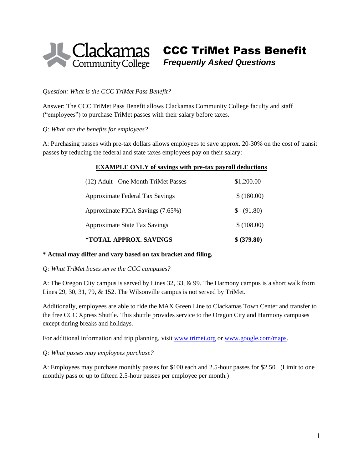

CCC TriMet Pass Benefit

*Frequently Asked Questions*

#### *Question: What is the CCC TriMet Pass Benefit?*

Answer: The CCC TriMet Pass Benefit allows Clackamas Community College faculty and staff ("employees") to purchase TriMet passes with their salary before taxes.

*Q: What are the benefits for employees?*

A: Purchasing passes with pre-tax dollars allows employees to save approx. 20-30% on the cost of transit passes by reducing the federal and state taxes employees pay on their salary:

#### **EXAMPLE ONLY of savings with pre-tax payroll deductions**

| *TOTAL APPROX. SAVINGS                                                                                      | \$ (379.80)                              |                                      |            |
|-------------------------------------------------------------------------------------------------------------|------------------------------------------|--------------------------------------|------------|
| Approximate Federal Tax Savings<br>Approximate FICA Savings (7.65%)<br><b>Approximate State Tax Savings</b> | \$ (180.00)<br>\$ (91.80)<br>\$ (108.00) |                                      |            |
|                                                                                                             |                                          | (12) Adult - One Month TriMet Passes | \$1,200.00 |

# **\* Actual may differ and vary based on tax bracket and filing.**

*Q: What TriMet buses serve the CCC campuses?*

A: The Oregon City campus is served by Lines 32, 33, & 99. The Harmony campus is a short walk from Lines 29, 30, 31, 79, & 152. The Wilsonville campus is not served by TriMet.

Additionally, employees are able to ride the MAX Green Line to Clackamas Town Center and transfer to the free CCC Xpress Shuttle. This shuttle provides service to the Oregon City and Harmony campuses except during breaks and holidays.

For additional information and trip planning, visit [www.trimet.org](http://www.trimet.org/) o[r www.google.com/maps.](http://www.google.com/maps)

#### *Q: What passes may employees purchase?*

A: Employees may purchase monthly passes for \$100 each and 2.5-hour passes for \$2.50. (Limit to one monthly pass or up to fifteen 2.5-hour passes per employee per month.)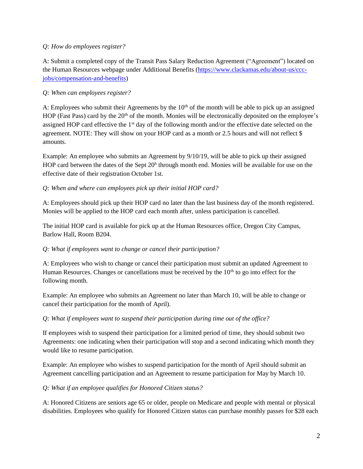## *Q: How do employees register?*

A: Submit a completed copy of the Transit Pass Salary Reduction Agreement ("Agreement") located on the Human Resources webpage under Additional Benefits [\(https://www.clackamas.edu/about-us/ccc](https://www.clackamas.edu/about-us/ccc-jobs/compensation-and-benefits)[jobs/compensation-and-benefits\)](https://www.clackamas.edu/about-us/ccc-jobs/compensation-and-benefits)

## *Q: When can employees register?*

A: Employees who submit their Agreements by the 10<sup>th</sup> of the month will be able to pick up an assigned HOP (Fast Pass) card by the 20<sup>th</sup> of the month. Monies will be electronically deposited on the employee's assigned HOP card effective the 1st day of the following month and/or the effective date selected on the agreement. NOTE: They will show on your HOP card as a month or 2.5 hours and will not reflect \$ amounts.

Example: An employee who submits an Agreement by 9/10/19, will be able to pick up their assigned HOP card between the dates of the Sept 20<sup>h</sup> through month end. Monies will be available for use on the effective date of their registration October 1st.

### *Q: When and where can employees pick up their initial HOP card?*

A: Employees should pick up their HOP card no later than the last business day of the month registered. Monies will be applied to the HOP card each month after, unless participation is cancelled.

The initial HOP card is available for pick up at the Human Resources office, Oregon City Campus, Barlow Hall, Room B204.

### *Q: What if employees want to change or cancel their participation?*

A: Employees who wish to change or cancel their participation must submit an updated Agreement to Human Resources. Changes or cancellations must be received by the  $10<sup>th</sup>$  to go into effect for the following month.

Example: An employee who submits an Agreement no later than March 10, will be able to change or cancel their participation for the month of April).

### *Q: What if employees want to suspend their participation during time out of the office?*

If employees wish to suspend their participation for a limited period of time, they should submit two Agreements: one indicating when their participation will stop and a second indicating which month they would like to resume participation.

Example: An employee who wishes to suspend participation for the month of April should submit an Agreement cancelling participation and an Agreement to resume participation for May by March 10.

*Q: What if an employee qualifies for Honored Citizen status?*

A: Honored Citizens are seniors age 65 or older, people on Medicare and people with mental or physical disabilities. Employees who qualify for Honored Citizen status can purchase monthly passes for \$28 each